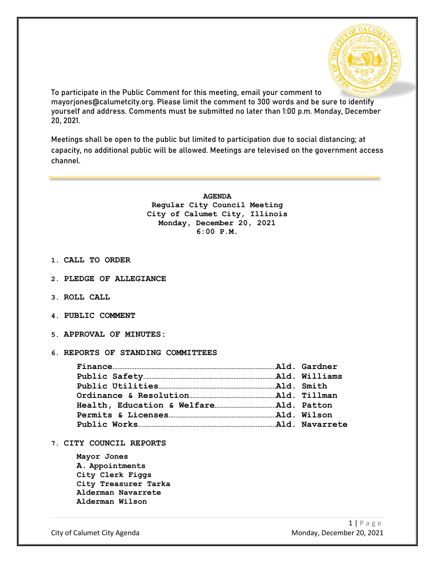

To participate in the Public Comment for this meeting, email your comment to mayorjones@calumetcity.org. Please limit the comment to 300 words and be sure to identify yourself and address. Comments must be submitted no later than 1:00 p.m. Monday, December 20, 2021.

Meetings shall be open to the public but limited to participation due to social distancing; at capacity, no additional public will be allowed. Meetings are televised on the government access channel.

> **AGENDA Regular City Council Meeting City of Calumet City, Illinois Monday, December 20, 2021 6:00 P.M.**

- **1. CALL TO ORDER**
- **2. PLEDGE OF ALLEGIANCE**
- **3. ROLL CALL**
- **4. PUBLIC COMMENT**
- **5. APPROVAL OF MINUTES:**
- **6. REPORTS OF STANDING COMMITTEES**

**7. CITY COUNCIL REPORTS**

**Mayor Jones A. Appointments City Clerk Figgs City Treasurer Tarka Alderman Navarrete Alderman Wilson**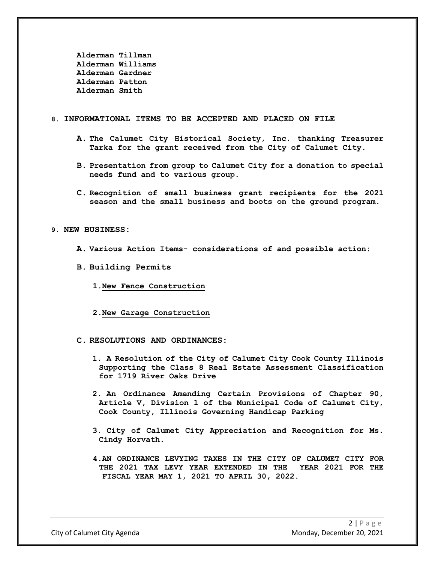**Alderman Tillman Alderman Williams Alderman Gardner Alderman Patton Alderman Smith**

## **8. INFORMATIONAL ITEMS TO BE ACCEPTED AND PLACED ON FILE**

- **A. The Calumet City Historical Society, Inc. thanking Treasurer Tarka for the grant received from the City of Calumet City.**
- **B. Presentation from group to Calumet City for a donation to special needs fund and to various group.**
- **C. Recognition of small business grant recipients for the 2021 season and the small business and boots on the ground program.**

## **9. NEW BUSINESS:**

- **A. Various Action Items- considerations of and possible action:**
- **B. Building Permits**
	- **1.New Fence Construction**
	- **2.New Garage Construction**
- **C. RESOLUTIONS AND ORDINANCES:**
	- **1. A Resolution of the City of Calumet City Cook County Illinois Supporting the Class 8 Real Estate Assessment Classification for 1719 River Oaks Drive**
	- **2. An Ordinance Amending Certain Provisions of Chapter 90, Article V, Division 1 of the Municipal Code of Calumet City, Cook County, Illinois Governing Handicap Parking**
	- **3. City of Calumet City Appreciation and Recognition for Ms. Cindy Horvath.**
	- **4.AN ORDINANCE LEVYING TAXES IN THE CITY OF CALUMET CITY FOR THE 2021 TAX LEVY YEAR EXTENDED IN THE YEAR 2021 FOR THE FISCAL YEAR MAY 1, 2021 TO APRIL 30, 2022.**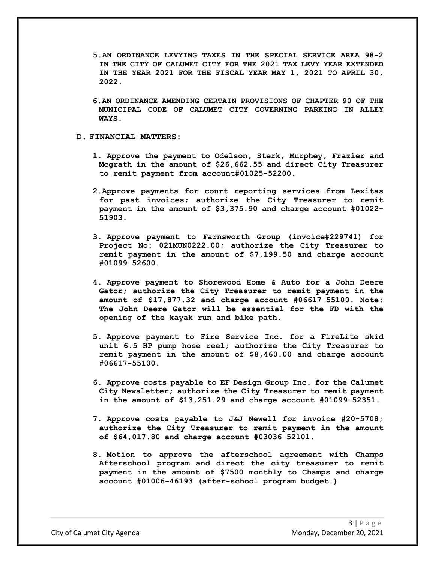- **5.AN ORDINANCE LEVYING TAXES IN THE SPECIAL SERVICE AREA 98-2 IN THE CITY OF CALUMET CITY FOR THE 2021 TAX LEVY YEAR EXTENDED IN THE YEAR 2021 FOR THE FISCAL YEAR MAY 1, 2021 TO APRIL 30, 2022.**
- **6.AN ORDINANCE AMENDING CERTAIN PROVISIONS OF CHAPTER 90 OF THE MUNICIPAL CODE OF CALUMET CITY GOVERNING PARKING IN ALLEY WAYS.**

## **D. FINANCIAL MATTERS:**

- **1. Approve the payment to Odelson, Sterk, Murphey, Frazier and Mcgrath in the amount of \$26,662.55 and direct City Treasurer to remit payment from account#01025-52200.**
- **2.Approve payments for court reporting services from Lexitas for past invoices; authorize the City Treasurer to remit payment in the amount of \$3,375.90 and charge account #01022- 51903.**
- **3. Approve payment to Farnsworth Group (invoice#229741) for Project No: 021MUN0222.00; authorize the City Treasurer to remit payment in the amount of \$7,199.50 and charge account #01099-52600.**
- **4. Approve payment to Shorewood Home & Auto for a John Deere Gator; authorize the City Treasurer to remit payment in the amount of \$17,877.32 and charge account #06617-55100. Note: The John Deere Gator will be essential for the FD with the opening of the kayak run and bike path.**
- **5. Approve payment to Fire Service Inc. for a FireLite skid unit 6.5 HP pump hose reel; authorize the City Treasurer to remit payment in the amount of \$8,460.00 and charge account #06617-55100.**
- **6. Approve costs payable to EF Design Group Inc. for the Calumet City Newsletter; authorize the City Treasurer to remit payment in the amount of \$13,251.29 and charge account #01099-52351.**
- **7. Approve costs payable to J&J Newell for invoice #20-5708; authorize the City Treasurer to remit payment in the amount of \$64,017.80 and charge account #03036-52101.**
- **8. Motion to approve the afterschool agreement with Champs Afterschool program and direct the city treasurer to remit payment in the amount of \$7500 monthly to Champs and charge account #01006-46193 (after-school program budget.)**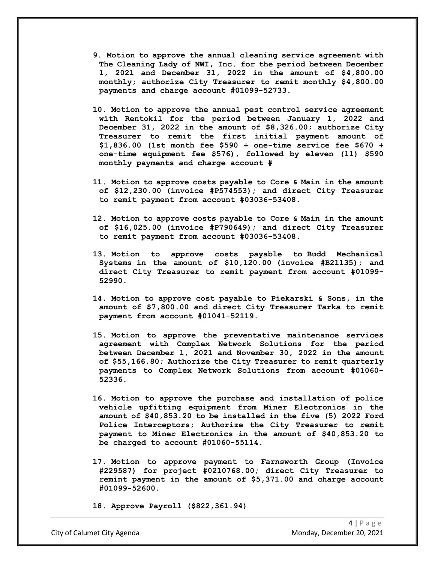- **9. Motion to approve the annual cleaning service agreement with The Cleaning Lady of NWI, Inc. for the period between December 1, 2021 and December 31, 2022 in the amount of \$4,800.00 monthly; authorize City Treasurer to remit monthly \$4,800.00 payments and charge account #01099-52733.**
- **10. Motion to approve the annual pest control service agreement with Rentokil for the period between January 1, 2022 and December 31, 2022 in the amount of \$8,326.00; authorize City Treasurer to remit the first initial payment amount of \$1,836.00 (1st month fee \$590 + one-time service fee \$670 + one-time equipment fee \$576), followed by eleven (11) \$590 monthly payments and charge account #**
- **11. Motion to approve costs payable to Core & Main in the amount of \$12,230.00 (invoice #P574553); and direct City Treasurer to remit payment from account #03036-53408.**
- **12. Motion to approve costs payable to Core & Main in the amount of \$16,025.00 (invoice #P790649); and direct City Treasurer to remit payment from account #03036-53408.**
- **13. Motion to approve costs payable to Budd Mechanical Systems in the amount of \$10,120.00 (invoice #B21135); and direct City Treasurer to remit payment from account #01099- 52990.**
- **14. Motion to approve cost payable to Piekarski & Sons, in the amount of \$7,800.00 and direct City Treasurer Tarka to remit payment from account #01041-52119.**
- **15. Motion to approve the preventative maintenance services agreement with Complex Network Solutions for the period between December 1, 2021 and November 30, 2022 in the amount of \$55,166.80; Authorize the City Treasurer to remit quarterly payments to Complex Network Solutions from account #01060- 52336.**
- **16. Motion to approve the purchase and installation of police vehicle upfitting equipment from Miner Electronics in the amount of \$40,853.20 to be installed in the five (5) 2022 Ford Police Interceptors; Authorize the City Treasurer to remit payment to Miner Electronics in the amount of \$40,853.20 to be charged to account #01060-55114.**
- **17. Motion to approve payment to Farnsworth Group (Invoice #229587) for project #0210768.00; direct City Treasurer to remint payment in the amount of \$5,371.00 and charge account #01099-52600.**
- **18. Approve Payroll (\$822,361.94)**